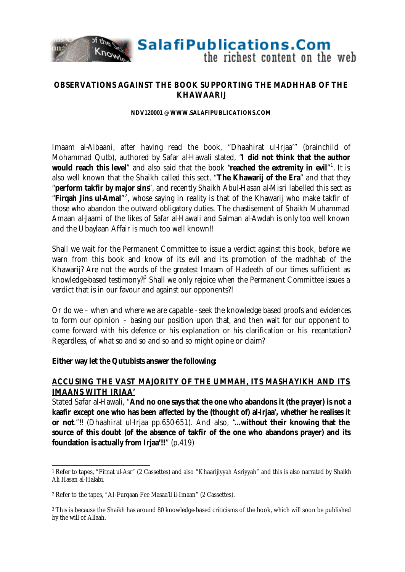

**SalafiPublications.Com** 

the richest content on the web

#### **OBSERVATIONS AGAINST THE BOOK SUPPORTING THE MADHHAB OF THE KHAWAARIJ**

#### **NDV120001 @ WWW.SALAFIPUBLICATIONS.COM**

Imaam al-Albaani, after having read the book, "Dhaahirat ul-Irjaa'" (brainchild of Mohammad Qutb), authored by Safar al-Hawali stated, "**I did not think that the author would reach this level**" and also said that the book "**reached the extremity in evil**" 1 . It is also well known that the Shaikh called this sect, "**The Khawarij of the Era**" and that they "**perform takfir by major sins**", and recently Shaikh Abul-Hasan al-Misri labelled this sect as "Firqah Jins ul-Amal"<sup>2</sup>, whose saying in reality is that of the Khawarij who make takfir of those who abandon the outward obligatory duties. The chastisement of Shaikh Muhammad Amaan al-Jaami of the likes of Safar al-Hawali and Salman al-Awdah is only too well known and the Ubaylaan Affair is much too well known!!

Shall we wait for the Permanent Committee to issue a verdict against this book, before we warn from this book and know of its evil and its promotion of the madhhab of the Khawarij? Are not the words of the greatest Imaam of Hadeeth of our times sufficient as knowledge-based testimony?!<sup>3</sup> Shall we only rejoice when the Permanent Committee issues a verdict that is in our favour and against our opponents?!

Or do we – when and where we are capable - seek the knowledge based proofs and evidences to form our opinion – basing our position upon that, and then wait for our opponent to come forward with his defence or his explanation or his clarification or his recantation? Regardless, of what so and so and so and so might opine or claim?

#### **Either way let the Qutubists answer the following:**

### **ACCUSING THE VAST MAJORITY OF THE UMMAH, ITS MASHAYIKH AND ITS IMAANS WITH IRJAA'**

Stated Safar al-Hawali, "**And no one says that the one who abandons it (the prayer) is not a kaafir except one who has been affected by the (thought of) al-Irjaa', whether he realises it or not**."!! (Dhaahirat ul-Irjaa pp.650-651). And also, "**…without their knowing that the source of this doubt (of the absence of takfir of the one who abandons prayer) and its foundation is actually from Irjaa'!!**" (p.419)

l <sup>1</sup> Refer to tapes, "Fitnat ul-Asr" (2 Cassettes) and also "Khaarijiyyah Asriyyah" and this is also narrated by Shaikh Ali Hasan al-Halabi.

<sup>2</sup> Refer to the tapes, "Al-Furqaan Fee Masaa'il il-Imaan" (2 Cassettes).

<sup>3</sup> This is because the Shaikh has around 80 knowledge-based criticisms of the book, which will soon be published by the will of Allaah.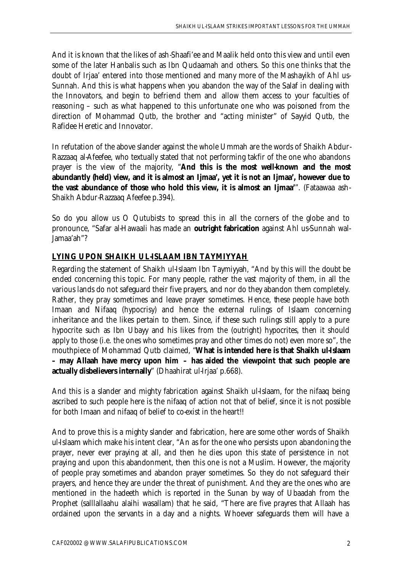And it is known that the likes of ash-Shaafi'ee and Maalik held onto this view and until even some of the later Hanbalis such as Ibn Qudaamah and others. So this one thinks that the doubt of Irjaa' entered into those mentioned and many more of the Mashayikh of Ahl us-Sunnah. And this is what happens when you abandon the way of the Salaf in dealing with the Innovators, and begin to befriend them and allow them access to your faculties of reasoning – such as what happened to this unfortunate one who was poisoned from the direction of Mohammad Qutb, the brother and "acting minister" of Sayyid Qutb, the Rafidee Heretic and Innovator.

In refutation of the above slander against the whole Ummah are the words of Shaikh Abdur-Razzaaq al-Afeefee, who textually stated that not performing takfir of the one who abandons prayer is the view of the majority, "**And this is the most well-known and the most abundantly (held) view, and it is almost an Ijmaa', yet it is not an Ijmaa', however due to the vast abundance of those who hold this view, it is almost an Ijmaa'**". (Fataawaa ash-Shaikh Abdur-Razzaaq Afeefee p.394).

So do you allow us O Qutubists to spread this in all the corners of the globe and to pronounce, "Safar al-Hawaali has made an **outright fabrication** against Ahl us-Sunnah wal-Jamaa'ah"?

# **LYING UPON SHAIKH UL-ISLAAM IBN TAYMIYYAH**

Regarding the statement of Shaikh ul-Islaam Ibn Taymiyyah, "And by this will the doubt be ended concerning this topic. For many people, rather the vast majority of them, in all the various lands do not safeguard their five prayers, and nor do they abandon them completely. Rather, they pray sometimes and leave prayer sometimes. Hence, these people have both Imaan and Nifaaq (hypocrisy) and hence the external rulings of Islaam concerning inheritance and the likes pertain to them. Since, if these such rulings still apply to a pure hypocrite such as Ibn Ubayy and his likes from the (outright) hypocrites, then it should apply to those (i.e. the ones who sometimes pray and other times do not) even more so", the mouthpiece of Mohammad Qutb claimed, "**What is intended here is that Shaikh ul-Islaam – may Allaah have mercy upon him – has aided the viewpoint that such people are actually disbelievers internally**" (Dhaahirat ul-Irjaa' p.668).

And this is a slander and mighty fabrication against Shaikh ul-Islaam, for the nifaaq being ascribed to such people here is the nifaaq of action not that of belief, since it is not possible for both Imaan and nifaaq of belief to co-exist in the heart!!

And to prove this is a mighty slander and fabrication, here are some other words of Shaikh ul-Islaam which make his intent clear, "An as for the one who persists upon abandoning the prayer, never ever praying at all, and then he dies upon this state of persistence in not praying and upon this abandonment, then this one is not a Muslim. However, the majority of people pray sometimes and abandon prayer sometimes. So they do not safeguard their prayers, and hence they are under the threat of punishment. And they are the ones who are mentioned in the hadeeth which is reported in the Sunan by way of Ubaadah from the Prophet (salllallaahu alaihi wasallam) that he said, "There are five prayres that Allaah has ordained upon the servants in a day and a nights. Whoever safeguards them will have a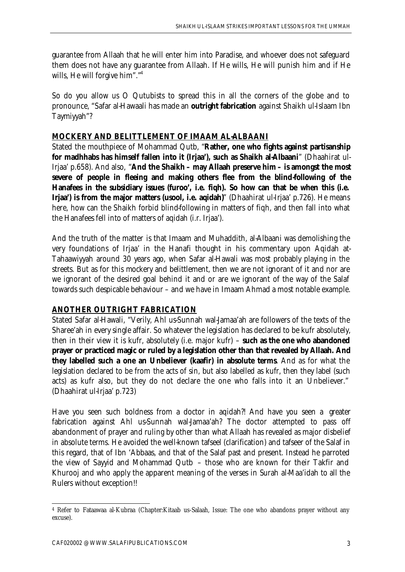guarantee from Allaah that he will enter him into Paradise, and whoever does not safeguard them does not have any guarantee from Allaah. If He wills, He will punish him and if He wills, He will forgive him"."<sup>4</sup>

So do you allow us O Qutubists to spread this in all the corners of the globe and to pronounce, "Safar al-Hawaali has made an **outright fabrication** against Shaikh ul-Islaam Ibn Taymiyyah"?

## **MOCKERY AND BELITTLEMENT OF IMAAM AL-ALBAANI**

Stated the mouthpiece of Mohammad Qutb, "**Rather, one who fights against partisanship for madhhabs has himself fallen into it (Irjaa'), such as Shaikh al-Albaani**" (Dhaahirat ul-Irjaa' p.658). And also, "**And the Shaikh – may Allaah preserve him – is amongst the most severe of people in fleeing and making others flee from the blind-following of the Hanafees in the subsidiary issues (furoo', i.e. fiqh). So how can that be when this (i.e. Irjaa') is from the major matters (usool, i.e. aqidah)**" (Dhaahirat ul-Irjaa' p.726). He means here, how can the Shaikh forbid blind-following in matters of fiqh, and then fall into what the Hanafees fell into of matters of aqidah (i.r. Irjaa').

And the truth of the matter is that Imaam and Muhaddith, al-Albaani was demolishing the very foundations of Irjaa' in the Hanafi thought in his commentary upon Aqidah at-Tahaawiyyah around 30 years ago, when Safar al-Hawali was most probably playing in the streets. But as for this mockery and belittlement, then we are not ignorant of it and nor are we ignorant of the desired goal behind it and or are we ignorant of the way of the Salaf towards such despicable behaviour – and we have in Imaam Ahmad a most notable example.

# **ANOTHER OUTRIGHT FABRICATION**

Stated Safar al-Hawali, "Verily, Ahl us-Sunnah wal-Jamaa'ah are followers of the texts of the Sharee'ah in every single affair. So whatever the legislation has declared to be kufr absolutely, then in their view it is kufr, absolutely (i.e. major kufr) – **such as the one who abandoned prayer or practiced magic or ruled by a legislation other than that revealed by Allaah. And they labelled such a one an Unbeliever (kaafir) in absolute terms**. And as for what the legislation declared to be from the acts of sin, but also labelled as kufr, then they label (such acts) as kufr also, but they do not declare the one who falls into it an Unbeliever." (Dhaahirat ul-Irjaa' p.723)

Have you seen such boldness from a doctor in aqidah?! And have you seen a greater fabrication against Ahl us-Sunnah wal-Jamaa'ah? The doctor attempted to pass off abandonment of prayer and ruling by other than what Allaah has revealed as major disbelief in absolute terms. He avoided the well-known tafseel (clarification) and tafseer of the Salaf in this regard, that of Ibn 'Abbaas, and that of the Salaf past and present. Instead he parroted the view of Sayyid and Mohammad Qutb – those who are known for their Takfir and Khurooj and who apply the apparent meaning of the verses in Surah al-Maa'idah to all the Rulers without exception!!

l <sup>4</sup> Refer to Fataawaa al-Kubraa (Chapter:Kitaab us-Salaah, Issue: The one who abandons prayer without any excuse).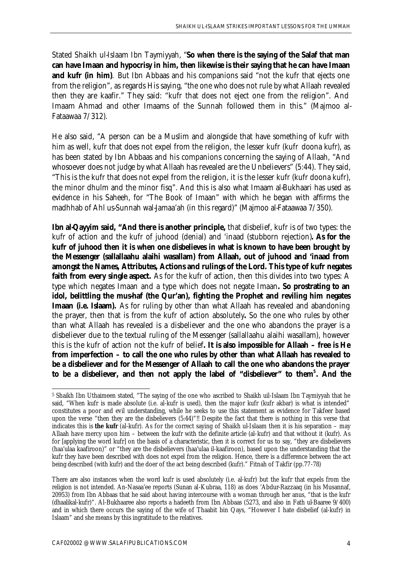Stated Shaikh ul-Islaam Ibn Taymiyyah, "**So when there is the saying of the Salaf that man can have Imaan and hypocrisy in him, then likewise is their saying that he can have Imaan and kufr (in him)**. But Ibn Abbaas and his companions said "not the kufr that ejects one from the religion", as regards His saying, "the one who does not rule by what Allaah revealed then they are kaafir." They said: "kufr that does not eject one from the religion". And Imaam Ahmad and other Imaams of the Sunnah followed them in this." (Majmoo al-Fataawaa 7/312).

He also said, "A person can be a Muslim and alongside that have something of kufr with him as well, kufr that does not expel from the religion, the lesser kufr (kufr doona kufr), as has been stated by Ibn Abbaas and his companions concerning the saying of Allaah, "And whosoever does not judge by what Allaah has revealed are the Unbelievers" (5:44). They said, "This is the kufr that does not expel from the religion, it is the lesser kufr (kufr doona kufr), the minor dhulm and the minor fisq". And this is also what Imaam al-Bukhaari has used as evidence in his Saheeh, for "The Book of Imaan" with which he began with affirms the madhhab of Ahl us-Sunnah wal-Jamaa'ah (in this regard)" (Majmoo al-Fataawaa 7/350).

**Ibn al-Qayyim said, "And there is another principle,** that disbelief, kufr is of two types: the kufr of action and the kufr of juhood (denial) and 'inaad (stubborn rejection)**. As for the kufr of juhood then it is when one disbelieves in what is known to have been brought by the Messenger (sallallaahu alaihi wasallam) from Allaah, out of juhood and 'inaad from amongst the Names, Attributes, Actions and rulings of the Lord. This type of kufr negates faith from every single aspect.** As for the kufr of action, then this divides into two types: A type which negates Imaan and a type which does not negate Imaan**. So prostrating to an idol, belittling the mus-haf (the Qur'an), fighting the Prophet and reviling him negates Imaan (i.e. Islaam).** As for ruling by other than what Allaah has revealed and abandoning the prayer, then that is from the kufr of action absolutely**.** So the one who rules by other than what Allaah has revealed is a disbeliever and the one who abandons the prayer is a disbeliever due to the textual ruling of the Messenger (sallallaahu alaihi wasallam), however this is the kufr of action not the kufr of belief**. It is also impossible for Allaah – free is He from imperfection – to call the one who rules by other than what Allaah has revealed to be a disbeliever and for the Messenger of Allaah to call the one who abandons the prayer to be a disbeliever, and then not apply the label of "disbeliever" to them<sup>5</sup> . And the**

l

<sup>5</sup> Shaikh Ibn Uthaimeen stated, "The saying of the one who ascribed to Shaikh uil-Islaam Ibn Taymiyyah that he said, "When kufr is made absolute (i.e. al-kufr is used), then the major kufr (kufr akbar) is what is intended" constitutes a poor and evil understanding, while he seeks to use this statement as evidence for Takfeer based upon the verse "then they are the disbelievers (5:44)"!! Despite the fact that there is nothing in this verse that indicates this is **the kufr** (al-kufr). As for the correct saying of Shaikh ul-Islaam then it is his separation – may Allaah have mercy upon him – between the kufr with the definite article (al-kufr) and that without it (kufr). As for [applying the word kufr] on the basis of a characteristic, then it is correct for us to say, "they are disbelievers (haa'ulaa kaafiroon)" or "they are the disbelievers (haa'ulaa il-kaafiroon), based upon the understanding that the kufr they have been described with does not expel from the religion. Hence, there is a difference between the act being described (with kufr) and the doer of the act being described (kufr)." Fitnah of Takfir (pp.77-78)

There are also instances when the word kufr is used absolutely (i.e. al-kufr) but the kufr that expels from the religion is not intended. An-Nasaa'ee reports (Sunan al-Kubraa, 118) as does 'Abdur-Razzaaq (in his Musannaf, 20953) from Ibn Abbaas that he said about having intercourse with a woman through her anus, "that is the kufr (dhaalikal-kufr)". Al-Bukhaaree also reports a hadeeth from Ibn Abbaas (5273, and also in Fath ul-Baaree 9/400) and in which there occurs the saying of the wife of Thaabit bin Qays, "However I hate disbelief (al-kufr) in Islaam" and she means by this ingratitude to the relatives.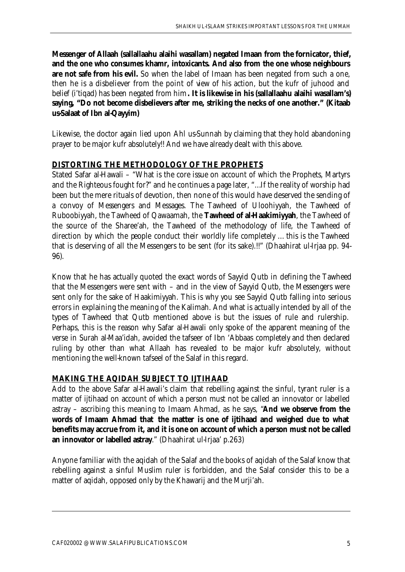**Messenger of Allaah (sallallaahu alaihi wasallam) negated Imaan from the fornicator, thief, and the one who consumes khamr, intoxicants. And also from the one whose neighbours**  are not safe from his evil. So when the label of Imaan has been negated from such a one, then he is a disbeliever from the point of view of his action, but the kufr of juhood and belief (i'tiqad) has been negated from him**. It is likewise in his (sallallaahu alaihi wasallam's) saying, "Do not become disbelievers after me, striking the necks of one another." (Kitaab us-Salaat of Ibn al-Qayyim)**

Likewise, the doctor again lied upon Ahl us-Sunnah by claiming that they hold abandoning prayer to be major kufr absolutely!! And we have already dealt with this above.

# **DISTORTING THE METHODOLOGY OF THE PROPHETS**

Stated Safar al-Hawali – "What is the core issue on account of which the Prophets, Martyrs and the Righteous fought for?" and he continues a page later, "…If the reality of worship had been but the mere rituals of devotion, then none of this would have deserved the sending of a convoy of Messengers and Messages. The Tawheed of Uloohiyyah, the Tawheed of Ruboobiyyah, the Tawheed of Qawaamah, the **Tawheed of al-Haakimiyyah**, the Tawheed of the source of the Sharee'ah, the Tawheed of the methodology of life, the Tawheed of direction by which the people conduct their worldly life completely … this is the Tawheed that is deserving of all the Messengers to be sent (for its sake).!!" (Dhaahirat ul-Irjaa pp. 94- 96).

Know that he has actually quoted the exact words of Sayyid Qutb in defining the Tawheed that the Messengers were sent with – and in the view of Sayyid Qutb, the Messengers were sent only for the sake of Haakimiyyah. This is why you see Sayyid Qutb falling into serious errors in explaining the meaning of the Kalimah. And what is actually intended by all of the types of Tawheed that Qutb mentioned above is but the issues of rule and rulership. Perhaps, this is the reason why Safar al-Hawali only spoke of the apparent meaning of the verse in Surah al-Maa'idah, avoided the tafseer of Ibn 'Abbaas completely and then declared ruling by other than what Allaah has revealed to be major kufr absolutely, without mentioning the well-known tafseel of the Salaf in this regard.

# **MAKING THE AQIDAH SUBJECT TO IJTIHAAD**

Add to the above Safar al-Hawali's claim that rebelling against the sinful, tyrant ruler is a matter of ijtihaad on account of which a person must not be called an innovator or labelled astray – ascribing this meaning to Imaam Ahmad, as he says, "**And we observe from the words of Imaam Ahmad that the matter is one of ijtihaad and weighed due to what benefits may accrue from it, and it is one on account of which a person must not be called an innovator or labelled astray**." (Dhaahirat ul-Irjaa' p.263)

Anyone familiar with the aqidah of the Salaf and the books of aqidah of the Salaf know that rebelling against a sinful Muslim ruler is forbidden, and the Salaf consider this to be a matter of aqidah, opposed only by the Khawarij and the Murji'ah.

 $\overline{a}$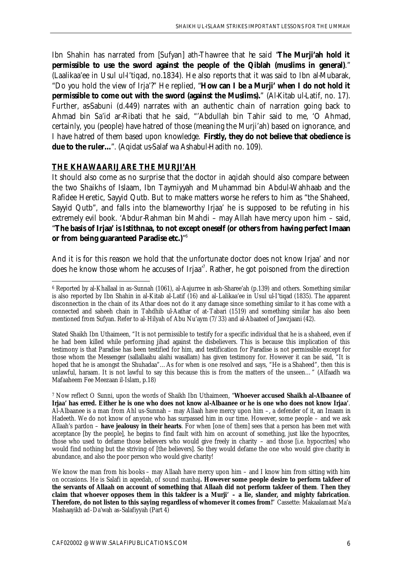Ibn Shahin has narrated from [Sufyan] ath-Thawree that he said "**The Murji'ah hold it permissible to use the sword against the people of the Qiblah (muslims in general)**." (Laalikaa'ee in Usul ul-I'tiqad, no.1834). He also reports that it was said to Ibn al-Mubarak, "Do you hold the view of Irja'?" He replied, "**How can I be a Murji' when I do not hold it permissible to come out with the sword (against the Muslims).**" (Al-Kitab ul-Latif, no. 17). Further, as-Sabuni (d.449) narrates with an authentic chain of narration going back to Ahmad bin Sa'id ar-Ribati that he said, "'Abdullah bin Tahir said to me, 'O Ahmad, certainly, you (people) have hatred of those (meaning the Murji'ah) based on ignorance, and I have hatred of them based upon knowledge. **Firstly, they do not believe that obedience is due to the ruler…**". (Aqidat us-Salaf wa Ashabul-Hadith no. 109).

#### **THE KHAWAARIJ ARE THE MURJI'AH**

l

It should also come as no surprise that the doctor in aqidah should also compare between the two Shaikhs of Islaam, Ibn Taymiyyah and Muhammad bin Abdul-Wahhaab and the Rafidee Heretic, Sayyid Qutb. But to make matters worse he refers to him as "the Shaheed, Sayyid Qutb", and falls into the blameworthy Irjaa' he is supposed to be refuting in his extremely evil book. 'Abdur-Rahman bin Mahdi – may Allah have mercy upon him – said, "**The basis of Irjaa' is Istithnaa, to not except oneself (or others from having perfect Imaan or from being guaranteed Paradise etc.)**" 6

And it is for this reason we hold that the unfortunate doctor does not know Irjaa' and nor does he know those whom he accuses of Irjaa<sup>7</sup>. Rather, he got poisoned from the direction

<sup>6</sup> Reported by al-Khallaal in as-Sunnah (1061), al-Aajurree in ash-Sharee'ah (p.139) and others. Something similar is also reported by Ibn Shahin in al-Kitab al-Latif (16) and al-Lalikaa'ee in Usul ul-I'tiqad (1835). The apparent disconnection in the chain of its Athar does not do it any damage since something similar to it has come with a connected and saheeh chain in Tahdhib ul-Aathar of at-Tabari (1519) and something similar has also been mentioned from Sufyan. Refer to al-Hilyah of Abu Nu'aym (7/33) and al-Abaateel of Jawzjaani (42).

Stated Shaikh Ibn Uthaimeen, "It is not permissible to testify for a specific individual that he is a shaheed, even if he had been killed while performing jihad against the disbelievers. This is because this implication of this testimony is that Paradise has been testified for him, and testification for Paradise is not permissible except for those whom the Messenger (sallallaahu alaihi wasallam) has given testimony for. However it can be said, "It is hoped that he is amongst the Shuhadaa"...As for when is one resolved and says, "He is a Shaheed", then this is unlawful, haraam. It is not lawful to say this because this is from the matters of the unseen…" (Alfaadh wa Mafaaheem Fee Meezaan il-Islam, p.18)

<sup>7</sup> Now reflect O Sunni, upon the words of Shaikh Ibn Uthaimeen, "**Whoever accused Shaikh al-Albaanee of Irjaa' has erred. Either he is one who does not know al-Albaanee or he is one who does not know Irjaa'**. Al-Albaanee is a man from Ahl us-Sunnah – may Allaah have mercy upon him –, a defender of it, an Imaam in Hadeeth. We do not know of anyone who has surpassed him in our time. However, some people – and we ask Allaah's pardon – **have jealousy in their hearts**. For when [one of them] sees that a person has been met with acceptance [by the people], he begins to find fault with him on account of something, just like the hypocrites, those who used to defame those believers who would give freely in charity – and those [i.e. hypocrites] who would find nothing but the striving of [the believers]. So they would defame the one who would give charity in abundance, and also the poor person who would give charity!

We know the man from his books – may Allaah have mercy upon him – and I know him from sitting with him on occasions. He is Salafi in aqeedah, of sound manhaj**. However some people desire to perform takfeer of the servants of Allaah on account of something that Allaah did not perform takfeer of them**. **Then they claim that whoever opposes them in this takfeer is a Murji' – a lie, slander, and mighty fabrication**. **Therefore, do not listen to this saying regardless of whomever it comes from!**" Cassette: Makaalamaat Ma'a Mashaayikh ad-Da'wah as-Salafiyyah (Part 4)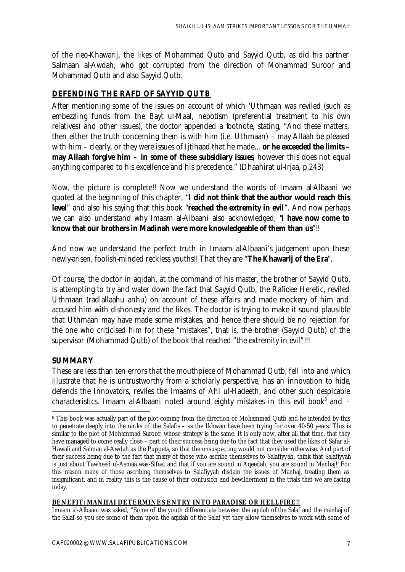of the neo-Khawarij, the likes of Mohammad Qutb and Sayyid Qutb, as did his partner Salmaan al-Awdah, who got corrupted from the direction of Mohammad Suroor and Mohammad Qutb and also Sayyid Qutb.

# **DEFENDING THE RAFD OF SAYYID QUTB**

After mentioning some of the issues on account of which 'Uthmaan was reviled (such as embezzling funds from the Bayt ul-Maal, nepotism (preferential treatment to his own relatives) and other issues), the doctor appended a footnote, stating, "And these matters, then either the truth concerning them is with him (i.e. Uthmaan) – may Allaah be pleased with him – clearly, or they were issues of Ijtihaad that he made… **or he exceeded the limits – may Allaah forgive him – in some of these subsidiary issues**, however this does not equal anything compared to his excellence and his precedence." (Dhaahirat ul-Irjaa, p.243)

Now, the picture is complete!! Now we understand the words of Imaam al-Albaani we quoted at the beginning of this chapter, "**I did not think that the author would reach this level**" and also his saying that this book "**reached the extremity in evil**". And now perhaps we can also understand why Imaam al-Albaani also acknowledged, "**I have now come to know that our brothers in Madinah were more knowledgeable of them than us**"!!

And now we understand the perfect truth in Imaam al-Albaani's judgement upon these newly-arisen, foolish-minded reckless youths!! That they are "**The Khawarij of the Era**".

Of course, the doctor in aqidah, at the command of his master, the brother of Sayyid Qutb, is attempting to try and water down the fact that Sayyid Qutb, the Rafidee Heretic, reviled Uthmaan (radiallaahu anhu) on account of these affairs and made mockery of him and accused him with dishonesty and the likes. The doctor is trying to make it sound plausible that Uthmaan may have made some mistakes, and hence there should be no rejection for the one who criticised him for these "mistakes", that is, the brother (Sayyid Qutb) of the supervisor (Mohammad Qutb) of the book that reached "the extremity in evil"!!!

### **SUMMARY**

These are less than ten errors that the mouthpiece of Mohammad Qutb, fell into and which illustrate that he is untrustworthy from a scholarly perspective, has an innovation to hide, defends the Innovators, reviles the Imaams of Ahl ul-Hadeeth, and other such despicable characteristics. Imaam al-Albaani noted around eighty mistakes in this evil book $^8$  and  $-$ 

#### **BENEFIT: MANHAJ DETERMINES ENTRY INTO PARADISE OR HELLFIRE!!**

Imaam al-Albaani was asked, "Some of the youth differentiate between the aqidah of the Salaf and the manhaj of the Salaf so you see some of them upon the aqidah of the Salaf yet they allow themselves to work with some of

l <sup>8</sup> This book was actually part of the plot coming from the direction of Mohammad Qutb and he intended by this to penetrate deeply into the ranks of the Salafis – as the Ikhwan have been trying for over 40-50 years. This is similar to the plot of Mohammad Suroor, whose strategy is the same. It is only now, after all that time, that they have managed to come really close – part of their success being due to the fact that they used the likes of Safar al-Hawali and Salman al-Awdah as the Puppets, so that the unsuspecting would not consider otherwise. And part of their success being due to the fact that many of those who ascribe themselves to Salafiyyah, think that Salafiyyah is just about Tawheed ul-Asmaa was-Sifaat and that if you are sound in Aqeedah, you are sound in Manhaj!! For this reason many of those ascribing themselves to Salafiyyah disdain the issues of Manhaj, treating them as insignificant, and in reality this is the cause of their confusion and bewilderment in the trials that we are facing today.